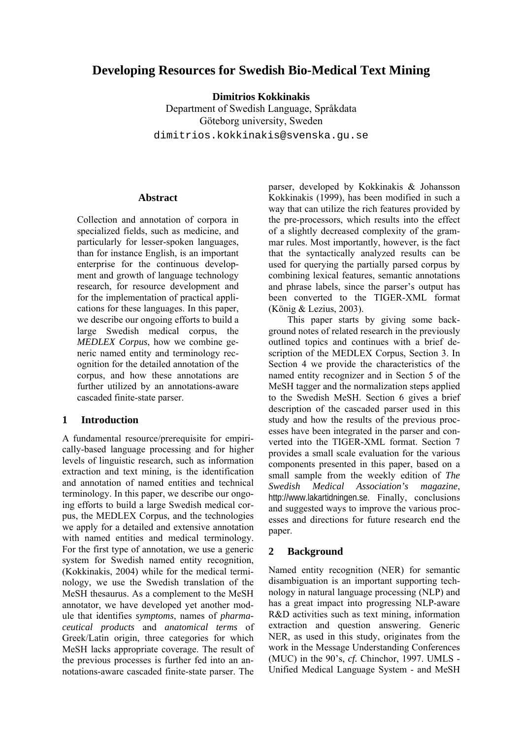# **Developing Resources for Swedish Bio-Medical Text Mining**

**Dimitrios Kokkinakis** 

Department of Swedish Language, Språkdata Göteborg university, Sweden dimitrios.kokkinakis@svenska.gu.se

#### **Abstract**

Collection and annotation of corpora in specialized fields, such as medicine, and particularly for lesser-spoken languages, than for instance English, is an important enterprise for the continuous development and growth of language technology research, for resource development and for the implementation of practical applications for these languages. In this paper, we describe our ongoing efforts to build a large Swedish medical corpus, the *MEDLEX Corpus*, how we combine generic named entity and terminology recognition for the detailed annotation of the corpus, and how these annotations are further utilized by an annotations-aware cascaded finite-state parser.

### **1 Introduction**

A fundamental resource/prerequisite for empirically-based language processing and for higher levels of linguistic research, such as information extraction and text mining, is the identification and annotation of named entities and technical terminology. In this paper, we describe our ongoing efforts to build a large Swedish medical corpus, the MEDLEX Corpus, and the technologies we apply for a detailed and extensive annotation with named entities and medical terminology. For the first type of annotation, we use a generic system for Swedish named entity recognition, (Kokkinakis, 2004) while for the medical terminology, we use the Swedish translation of the MeSH thesaurus. As a complement to the MeSH annotator, we have developed yet another module that identifies *symptoms*, names of *pharmaceutical products* and *anatomical terms* of Greek/Latin origin, three categories for which MeSH lacks appropriate coverage. The result of the previous processes is further fed into an annotations-aware cascaded finite-state parser. The

parser, developed by Kokkinakis & Johansson Kokkinakis (1999), has been modified in such a way that can utilize the rich features provided by the pre-processors, which results into the effect of a slightly decreased complexity of the grammar rules. Most importantly, however, is the fact that the syntactically analyzed results can be used for querying the partially parsed corpus by combining lexical features, semantic annotations and phrase labels, since the parser's output has been converted to the TIGER-XML format (König & Lezius, 2003).

This paper starts by giving some background notes of related research in the previously outlined topics and continues with a brief description of the MEDLEX Corpus, Section 3. In Section 4 we provide the characteristics of the named entity recognizer and in Section 5 of the MeSH tagger and the normalization steps applied to the Swedish MeSH. Section 6 gives a brief description of the cascaded parser used in this study and how the results of the previous processes have been integrated in the parser and converted into the TIGER-XML format. Section 7 provides a small scale evaluation for the various components presented in this paper, based on a small sample from the weekly edition of *The Swedish Medical Association's magazine*, http://www.lakartidningen.se. Finally, conclusions and suggested ways to improve the various processes and directions for future research end the paper.

## **2 Background**

Named entity recognition (NER) for semantic disambiguation is an important supporting technology in natural language processing (NLP) and has a great impact into progressing NLP-aware R&D activities such as text mining, information extraction and question answering. Generic NER, as used in this study, originates from the work in the Message Understanding Conferences (MUC) in the 90's, *cf.* Chinchor, 1997. UMLS - Unified Medical Language System - and MeSH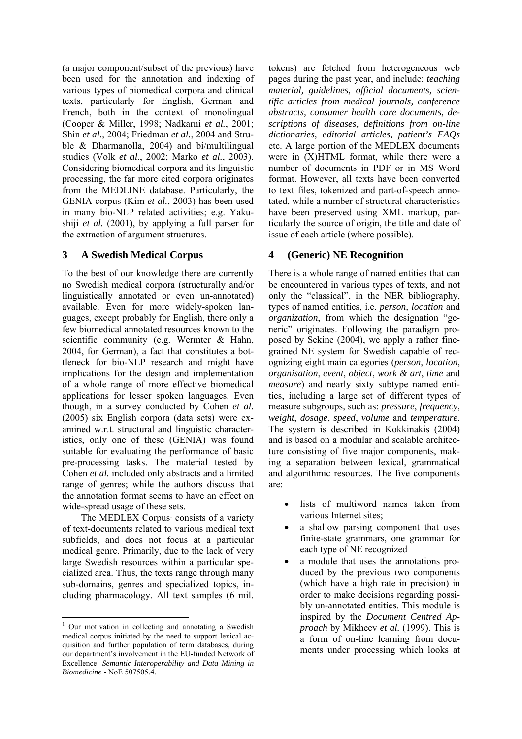(a major component/subset of the previous) have been used for the annotation and indexing of various types of biomedical corpora and clinical texts, particularly for English, German and French, both in the context of monolingual (Cooper & Miller, 1998; Nadkarni *et al.*, 2001; Shin *et al.*, 2004; Friedman *et al.*, 2004 and Struble & Dharmanolla, 2004) and bi/multilingual studies (Volk *et al.*, 2002; Marko *et al.*, 2003). Considering biomedical corpora and its linguistic processing, the far more cited corpora originates from the MEDLINE database. Particularly, the GENIA corpus (Kim *et al.*, 2003) has been used in many bio-NLP related activities; e.g. Yakushiji *et al.* (2001), by applying a full parser for the extraction of argument structures.

## **3 A Swedish Medical Corpus**

To the best of our knowledge there are currently no Swedish medical corpora (structurally and/or linguistically annotated or even un-annotated) available. Even for more widely-spoken languages, except probably for English, there only a few biomedical annotated resources known to the scientific community (e.g. Wermter & Hahn, 2004, for German), a fact that constitutes a bottleneck for bio-NLP research and might have implications for the design and implementation of a whole range of more effective biomedical applications for lesser spoken languages. Even though, in a survey conducted by Cohen *et al.* (2005) six English corpora (data sets) were examined w.r.t. structural and linguistic characteristics, only one of these (GENIA) was found suitable for evaluating the performance of basic pre-processing tasks. The material tested by Cohen *et al.* included only abstracts and a limited range of genres; while the authors discuss that the annotation format seems to have an effect on wide-spread usage of these sets.

The MEDLEX Corpus<sup>[1](#page-1-0)</sup> consists of a variety of text-documents related to various medical text subfields, and does not focus at a particular medical genre. Primarily, due to the lack of very large Swedish resources within a particular specialized area. Thus, the texts range through many sub-domains, genres and specialized topics, including pharmacology. All text samples (6 mil.

tokens) are fetched from heterogeneous web pages during the past year, and include: *teaching material, guidelines, official documents, scientific articles from medical journals, conference abstracts, consumer health care documents, descriptions of diseases, definitions from on-line dictionaries, editorial articles, patient's FAQs* etc. A large portion of the MEDLEX documents were in (X)HTML format, while there were a number of documents in PDF or in MS Word format. However, all texts have been converted to text files, tokenized and part-of-speech annotated, while a number of structural characteristics have been preserved using XML markup, particularly the source of origin, the title and date of issue of each article (where possible).

## **4 (Generic) NE Recognition**

There is a whole range of named entities that can be encountered in various types of texts, and not only the "classical", in the NER bibliography, types of named entities, i.e. *person, location* and *organization*, from which the designation "generic" originates. Following the paradigm proposed by Sekine (2004), we apply a rather finegrained NE system for Swedish capable of recognizing eight main categories (*person*, *location*, *organisation*, *event*, *object*, *work & art*, *time* and *measure*) and nearly sixty subtype named entities, including a large set of different types of measure subgroups, such as: *pressure*, *frequency*, *weight*, *dosage*, *speed*, *volume* and *temperature*. The system is described in Kokkinakis (2004) and is based on a modular and scalable architecture consisting of five major components, making a separation between lexical, grammatical and algorithmic resources. The five components are:

- lists of multiword names taken from various Internet sites;
- a shallow parsing component that uses finite-state grammars, one grammar for each type of NE recognized
- a module that uses the annotations produced by the previous two components (which have a high rate in precision) in order to make decisions regarding possibly un-annotated entities. This module is inspired by the *Document Centred Approach* by Mikheev *et al.* (1999). This is a form of on-line learning from documents under processing which looks at

<span id="page-1-0"></span><sup>&</sup>lt;sup>1</sup> Our motivation in collecting and annotating a Swedish medical corpus initiated by the need to support lexical acquisition and further population of term databases, during our department's involvement in the EU-funded Network of Excellence: *Semantic Interoperability and Data Mining in Biomedicine* - NoE 507505.4.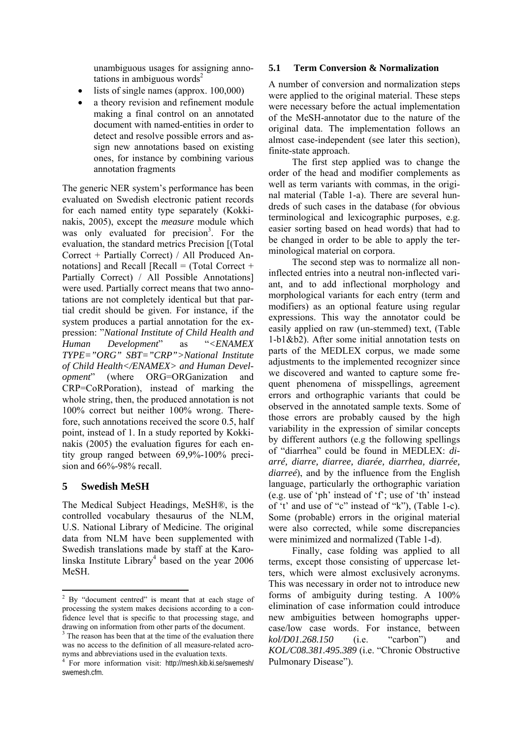unambiguous usages for assigning annotations in ambiguous words<sup>2</sup>

- lists of single names (approx. 100,000)
- a theory revision and refinement module making a final control on an annotated document with named-entities in order to detect and resolve possible errors and assign new annotations based on existing ones, for instance by combining various annotation fragments

The generic NER system's performance has been evaluated on Swedish electronic patient records for each named entity type separately (Kokkinakis, 2005), except the *measure* module which was only evaluated for precision<sup>3</sup>. For the evaluation, the standard metrics Precision [(Total Correct + Partially Correct) / All Produced Annotations] and Recall  $[Recall = (Total Correct +$ Partially Correct) / All Possible Annotations] were used. Partially correct means that two annotations are not completely identical but that partial credit should be given. For instance, if the system produces a partial annotation for the expression: "*National Institute of Child Health and Human Development*" as "*<ENAMEX TYPE="ORG" SBT="CRP">National Institute of Child Health</ENAMEX> and Human Development*" (where ORG=ORGanization and CRP=CoRPoration), instead of marking the whole string, then, the produced annotation is not 100% correct but neither 100% wrong. Therefore, such annotations received the score 0.5, half point, instead of 1. In a study reported by Kokkinakis (2005) the evaluation figures for each entity group ranged between 69,9%-100% precision and 66%-98% recall.

## **5 Swedish MeSH**

The Medical Subject Headings, [MeSH®,](http://www.nlm.nih.gov/mesh/meshhome.html) is the controlled vocabulary thesaurus of the NLM, U.S. National Library of Medicine. The original data from NLM have been supplemented with Swedish translations made by staff at the Karo-linska Institute Library<sup>[4](#page-2-2)</sup> based on the year  $2006$ MeSH.

### **5.1 Term Conversion & Normalization**

A number of conversion and normalization steps were applied to the original material. These steps were necessary before the actual implementation of the MeSH-annotator due to the nature of the original data. The implementation follows an almost case-independent (see later this section), finite-state approach.

The first step applied was to change the order of the head and modifier complements as well as term variants with commas, in the original material (Table 1-a). There are several hundreds of such cases in the database (for obvious terminological and lexicographic purposes, e.g. easier sorting based on head words) that had to be changed in order to be able to apply the terminological material on corpora.

The second step was to normalize all noninflected entries into a neutral non-inflected variant, and to add inflectional morphology and morphological variants for each entry (term and modifiers) as an optional feature using regular expressions. This way the annotator could be easily applied on raw (un-stemmed) text, (Table 1-b1&b2). After some initial annotation tests on parts of the MEDLEX corpus, we made some adjustments to the implemented recognizer since we discovered and wanted to capture some frequent phenomena of misspellings, agreement errors and orthographic variants that could be observed in the annotated sample texts. Some of those errors are probably caused by the high variability in the expression of similar concepts by different authors (e.g the following spellings of "diarrhea" could be found in MEDLEX: *diarré, diarre, diarree, diarée, diarrhea, diarrée, diarreé*), and by the influence from the English language, particularly the orthographic variation (e.g. use of 'ph' instead of 'f'; use of 'th' instead of 't' and use of "c" instead of "k"), (Table 1-c). Some (probable) errors in the original material were also corrected, while some discrepancies were minimized and normalized (Table 1-d).

Finally, case folding was applied to all terms, except those consisting of uppercase letters, which were almost exclusively acronyms. This was necessary in order not to introduce new forms of ambiguity during testing. A 100% elimination of case information could introduce new ambiguities between homographs uppercase/low case words. For instance, between *kol/D01.268.150* (i.e. "carbon") and *KOL/C08.381.495.389* (i.e. "Chronic Obstructive Pulmonary Disease").

<span id="page-2-0"></span><sup>&</sup>lt;sup>2</sup> By "document centred" is meant that at each stage of processing the system makes decisions according to a confidence level that is specific to that processing stage, and drawing on information from other parts of the document. 3 The reason has been that at the time of the evaluation there

<span id="page-2-1"></span>was no access to the definition of all measure-related acronyms and abbreviations used in the evaluation texts.

<span id="page-2-2"></span><sup>4</sup> For more information visit: http://mesh.kib.ki.se/swemesh/ swemesh.cfm.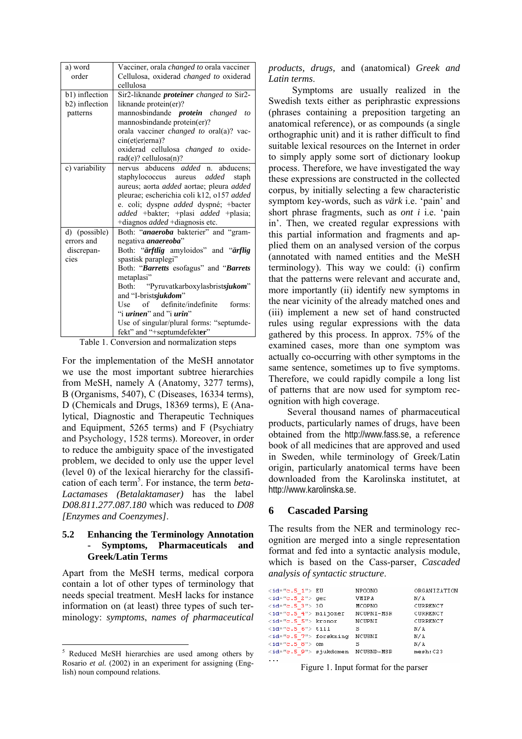| a) word        | Vacciner, orala <i>changed to</i> orala vacciner |  |  |  |
|----------------|--------------------------------------------------|--|--|--|
| order          | Cellulosa, oxiderad <i>changed to</i> oxiderad   |  |  |  |
|                | cellulosa                                        |  |  |  |
| b1) inflection | Sir2-liknande <i>proteiner</i> changed to Sir2-  |  |  |  |
| b2) inflection | liknande protein(er)?                            |  |  |  |
| patterns       | mannosbindande <i>protein changed to</i>         |  |  |  |
|                | mannosbindande protein(er)?                      |  |  |  |
|                | orala vacciner changed to oral(a)? vac-          |  |  |  |
|                | cin(et er erna)?                                 |  |  |  |
|                | oxiderad cellulosa <i>changed to</i> oxide-      |  |  |  |
|                | $rad(e)$ ? cellulosa $(n)$ ?                     |  |  |  |
| c) variability | nervus abducens <i>added</i> n. abducens;        |  |  |  |
|                | staphylococcus aureus <i>added</i><br>staph      |  |  |  |
|                | aureus; aorta added aortae; pleura added         |  |  |  |
|                | pleurae; escherichia coli k12, o157 added        |  |  |  |
|                | e. coli; dyspne <i>added</i> dyspné; +bacter     |  |  |  |
|                | added +bakter; +plasi added +plasia;             |  |  |  |
|                | +diagnos <i>added</i> +diagnosis etc.            |  |  |  |
| d) (possible)  | Both: "anaeroba bakterier" and "gram-            |  |  |  |
| errors and     | negativa <i>anaereoba</i> "                      |  |  |  |
| discrepan-     | Both: "ärftlig amyloidos" and "ärflig            |  |  |  |
| cies           | spastisk paraplegi"                              |  |  |  |
|                | Both: "Barretts esofagus" and "Barrets"          |  |  |  |
|                | metaplasi"                                       |  |  |  |
|                | Both: "Pyruvatkarboxylasbristsjukom"             |  |  |  |
|                | and "I-bristsjukdom"                             |  |  |  |
|                | Use of definite/indefinite<br>forms:             |  |  |  |
|                | "i <i>urinen</i> " and "i <i>urin</i> "          |  |  |  |
|                | Use of singular/plural forms: "septumde-         |  |  |  |
|                | fekt" and "+septumdefekter"                      |  |  |  |

Table 1. Conversion and normalization steps

For the implementation of the MeSH annotator we use the most important subtree hierarchies from MeSH, namely A (Anatomy, 3277 terms), B (Organisms, 5407), C (Diseases, 16334 terms), D (Chemicals and Drugs, 18369 terms), E (Analytical, Diagnostic and Therapeutic Techniques and Equipment, 5265 terms) and F (Psychiatry and Psychology, 1528 terms). Moreover, in order to reduce the ambiguity space of the investigated problem, we decided to only use the upper level (level 0) of the lexical hierarchy for the classification of each term<sup>5</sup>. For instance, the term *beta*-*Lactamases (Betalaktamaser)* has the label *D08.811.277.087.180* which was reduced to *D08 [Enzymes and Coenzymes]*.

### **5.2 Enhancing the Terminology Annotation - Symptoms, Pharmaceuticals and Greek/Latin Terms**

Apart from the MeSH terms, medical corpora contain a lot of other types of terminology that needs special treatment. MesH lacks for instance information on (at least) three types of such terminology: *symptoms*, *names of pharmaceutical*  *products, drugs,* and (anatomical) *Greek and Latin terms*.

Symptoms are usually realized in the Swedish texts either as periphrastic expressions (phrases containing a preposition targeting an anatomical reference), or as compounds (a single orthographic unit) and it is rather difficult to find suitable lexical resources on the Internet in order to simply apply some sort of dictionary lookup process. Therefore, we have investigated the way these expressions are constructed in the collected corpus, by initially selecting a few characteristic symptom key-words, such as *värk* i.e. 'pain' and short phrase fragments, such as *ont i* i.e. 'pain in'. Then, we created regular expressions with this partial information and fragments and applied them on an analysed version of the corpus (annotated with named entities and the MeSH terminology). This way we could: (i) confirm that the patterns were relevant and accurate and, more importantly (ii) identify new symptoms in the near vicinity of the already matched ones and (iii) implement a new set of hand constructed rules using regular expressions with the data gathered by this process. In approx. 75% of the examined cases, more than one symptom was actually co-occurring with other symptoms in the same sentence, sometimes up to five symptoms. Therefore, we could rapidly compile a long list of patterns that are now used for symptom recognition with high coverage.

Several thousand names of pharmaceutical products, particularly names of drugs, have been obtained from the http://www.fass.se, a reference book of all medicines that are approved and used in Sweden, while terminology of Greek/Latin origin, particularly anatomical terms have been downloaded from the Karolinska institutet, at http://www.karolinska.se.

#### **6 Cascaded Parsing**

The results from the NER and terminology recognition are merged into a single representation format and fed into a syntactic analysis module, which is based on the Cass-parser, *Cascaded analysis of syntactic structure*.

| $\langle$ id="c.5 1"> EU                         | NPOONO     | ORGANIZATION |
|--------------------------------------------------|------------|--------------|
| $\times$ id="c.5 2"> ger                         | VMIPA      | N/A          |
| $\texttt{ > 30$                                  | MCOPNO     | CURRENCY     |
| $\texttt{.5 4"> miljoner}$                       | NCUPNI-MSR | CURRENCY     |
| <id="c.5 5"=""> kronor == NCUPNI</id="c.5>       |            | CURRENCY     |
| $\texttt{}$ till                                 | s          | N/A          |
| <id="c.5 7"=""> forskning</id="c.5>              | NCUSNI     | N/A          |
| $<$ id="c.5 8"> om                               | s          | N/A          |
| <id="c.5 9"=""> sjukdomen = NCUSND-MSR</id="c.5> |            | mesh: C23    |
|                                                  |            |              |

Figure 1. Input format for the parser

<span id="page-3-0"></span><sup>&</sup>lt;sup>5</sup> Reduced MeSH hierarchies are used among others by Rosario *et al.* (2002) in an experiment for assigning (English) noun compound relations.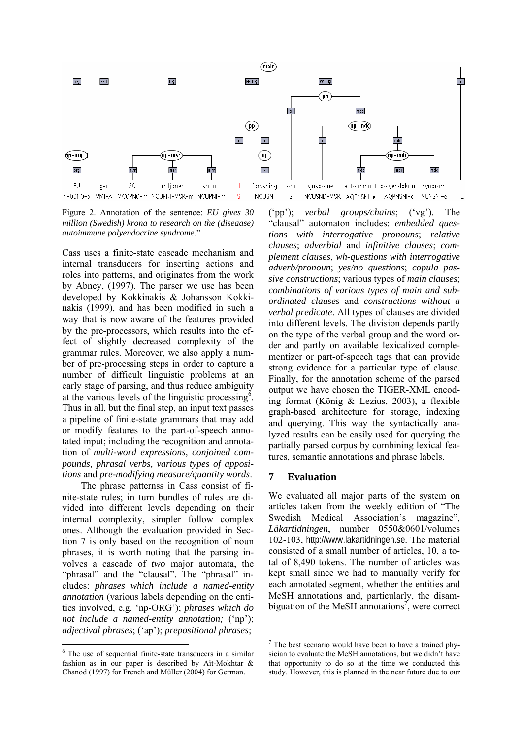

Figure 2. Annotation of the sentence: *EU gives 30 million (Swedish) krona to research on the (diseaase) autoimmune polyendocrine syndrome*."

Cass uses a finite-state cascade mechanism and internal transducers for inserting actions and roles into patterns, and originates from the work by Abney, (1997). The parser we use has been developed by Kokkinakis & Johansson Kokkinakis (1999), and has been modified in such a way that is now aware of the features provided by the pre-processors, which results into the effect of slightly decreased complexity of the grammar rules. Moreover, we also apply a number of pre-processing steps in order to capture a number of difficult linguistic problems at an early stage of parsing, and thus reduce ambiguity at the various levels of the linguistic processing $\delta$ . Thus in all, but the final step, an input text passes a pipeline of finite-state grammars that may add or modify features to the part-of-speech annotated input; including the recognition and annotation of *multi-word expressions, conjoined compounds, phrasal verbs, various types of appositions* and *pre-modifying measure/quantity words*.

The phrase patternss in Cass consist of finite-state rules; in turn bundles of rules are divided into different levels depending on their internal complexity, simpler follow complex ones. Although the evaluation provided in Section 7 is only based on the recognition of noun phrases, it is worth noting that the parsing involves a cascade of *two* major automata, the "phrasal" and the "clausal". The "phrasal" includes: *phrases which include a named-entity annotation* (various labels depending on the entities involved, e.g. 'np-ORG'); *phrases which do not include a named-entity annotation;* ('np'); *adjectival phrases*; ('ap'); *prepositional phrases*;

('pp'); *verbal groups/chains*; ('vg'). The "clausal" automaton includes: *embedded questions with interrogative pronouns*; *relative clauses*; *adverbial* and *infinitive clauses*; *complement clauses*, *wh-questions with interrogative adverb/pronoun*; *yes/no questions*; *copula passive constructions*; various types of *main clauses*; *combinations of various types of main and subordinated clauses* and *constructions without a verbal predicate*. All types of clauses are divided into different levels. The division depends partly on the type of the verbal group and the word order and partly on available lexicalized complementizer or part-of-speech tags that can provide strong evidence for a particular type of clause. Finally, for the annotation scheme of the parsed output we have chosen the TIGER-XML encoding format (König & Lezius, 2003), a flexible graph-based architecture for storage, indexing and querying. This way the syntactically analyzed results can be easily used for querying the partially parsed corpus by combining lexical features, semantic annotations and phrase labels.

#### **7 Evaluation**

We evaluated all major parts of the system on articles taken from the weekly edition of "The Swedish Medical Association's magazine", *Läkartidningen*, number 0550&0601/volumes 102-103, http://www.lakartidningen.se. The material consisted of a small number of articles, 10, a total of 8,490 tokens. The number of articles was kept small since we had to manually verify for each annotated segment, whether the entities and MeSH annotations and, particularly, the disam-biguation of the MeSH annotations<sup>[7](#page-4-1)</sup>, were correct

<span id="page-4-0"></span><sup>&</sup>lt;sup>6</sup> The use of sequential finite-state transducers in a similar fashion as in our paper is described by Aït-Mokhtar & Chanod (1997) for French and Müller (2004) for German.

<span id="page-4-1"></span><sup>&</sup>lt;sup>7</sup> The best scenario would have been to have a trained physician to evaluate the MeSH annotations, but we didn't have that opportunity to do so at the time we conducted this study. However, this is planned in the near future due to our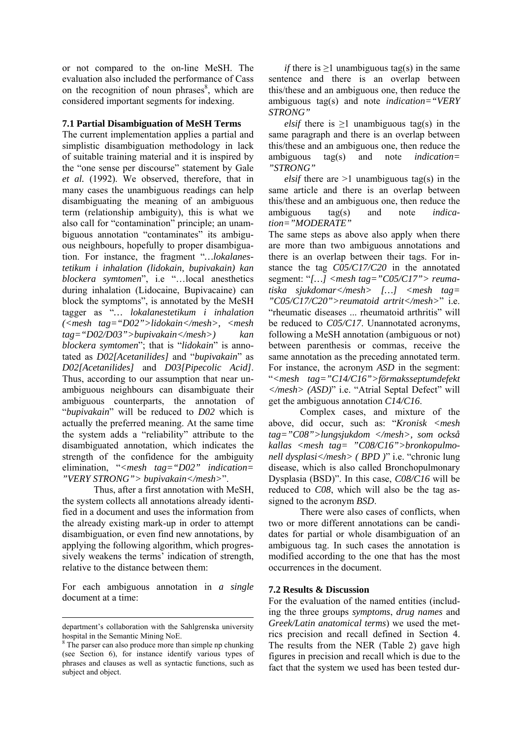or not compared to the on-line MeSH. The evaluation also included the performance of Cass on the recognition of noun phrases $\delta$ , which are considered important segments for indexing.

#### **7.1 Partial Disambiguation of MeSH Terms**

The current implementation applies a partial and simplistic disambiguation methodology in lack of suitable training material and it is inspired by the "one sense per discourse" statement by Gale *et al.* (1992). We observed, therefore, that in many cases the unambiguous readings can help disambiguating the meaning of an ambiguous term (relationship ambiguity), this is what we also call for "contamination" principle; an unambiguous annotation "contaminates" its ambiguous neighbours, hopefully to proper disambiguation. For instance, the fragment "*…lokalanestetikum i inhalation (lidokain, bupivakain) kan blockera symtomen*", i.e "…local anesthetics during inhalation (Lidocaine, Bupivacaine) can block the symptoms", is annotated by the MeSH tagger as "*… lokalanestetikum i inhalation (<mesh tag="D02">lidokain</mesh>, <mesh tag="D02/D03">bupivakain</mesh>) kan blockera symtomen*"; that is "*lidokain*" is annotated as *D02[Acetanilides]* and "*bupivakain*" as *D02[Acetanilides]* and *D03[Pipecolic Acid]*. Thus, according to our assumption that near unambiguous neighbours can disambiguate their ambiguous counterparts, the annotation of "*bupivakain*" will be reduced to *D02* which is actually the preferred meaning. At the same time the system adds a "reliability" attribute to the disambiguated annotation, which indicates the strength of the confidence for the ambiguity elimination, "*<mesh tag="D02" indication= "VERY STRONG"> bupivakain</mesh>*".

Thus, after a first annotation with MeSH, the system collects all annotations already identified in a document and uses the information from the already existing mark-up in order to attempt disambiguation, or even find new annotations, by applying the following algorithm, which progressively weakens the terms' indication of strength, relative to the distance between them:

For each ambiguous annotation in *a single* document at a time:

*if* there is  $\geq$ 1 unambiguous tag(s) in the same sentence and there is an overlap between this/these and an ambiguous one, then reduce the ambiguous tag(s) and note *indication="VERY STRONG"*

*elsif* there is  $\geq$ 1 unambiguous tag(s) in the same paragraph and there is an overlap between this/these and an ambiguous one, then reduce the ambiguous tag(s) and note *indication= "STRONG"*

*elsif* there are  $>1$  unambiguous tag(s) in the same article and there is an overlap between this/these and an ambiguous one, then reduce the ambiguous tag(s) and note *indication="MODERATE"*

The same steps as above also apply when there are more than two ambiguous annotations and there is an overlap between their tags. For instance the tag *C05/C17/C20* in the annotated segment: "*[…] <mesh tag="C05/C17"> reumatiska sjukdomar</mesh> […] <mesh tag= "C05/C17/C20">reumatoid artrit</mesh>*" i.e. "rheumatic diseases ... rheumatoid arthritis" will be reduced to *C05/C17*. Unannotated acronyms, following a MeSH annotation (ambiguous or not) between parenthesis or commas, receive the same annotation as the preceding annotated term. For instance, the acronym *ASD* in the segment: "*<mesh tag="C14/C16">förmaksseptumdefekt </mesh> (ASD)*" i.e. "Atrial Septal Defect" will get the ambiguous annotation *C14/C16*.

Complex cases, and mixture of the above, did occur, such as: "*Kronisk <mesh tag="C08">lungsjukdom </mesh>, som också kallas <mesh tag= "C08/C16">bronkopulmonell dysplasi</mesh> ( BPD )*" i.e. "chronic lung disease, which is also called [Bronchopulmonary](http://mesh.kib.ki.se/swemesh/show.swemeshtree.cfm?Mesh_No=C08.381.125&tool=karolinska)  [Dysplasia](http://mesh.kib.ki.se/swemesh/show.swemeshtree.cfm?Mesh_No=C08.381.125&tool=karolinska) (BSD)". In this case, *C08/C16* will be reduced to *C08*, which will also be the tag assigned to the acronym *BSD*.

 There were also cases of conflicts, when two or more different annotations can be candidates for partial or whole disambiguation of an ambiguous tag. In such cases the annotation is modified according to the one that has the most occurrences in the document.

### **7.2 Results & Discussion**

For the evaluation of the named entities (including the three groups *symptoms*, *drug names* and *Greek/Latin anatomical terms*) we used the metrics precision and recall defined in Section 4. The results from the NER (Table 2) gave high figures in precision and recall which is due to the fact that the system we used has been tested dur-

department's collaboration with the Sahlgrenska university hospital in the Semantic Mining NoE.

<span id="page-5-0"></span><sup>&</sup>lt;sup>8</sup> The parser can also produce more than simple np chunking (see Section 6), for instance identify various types of phrases and clauses as well as syntactic functions, such as subject and object.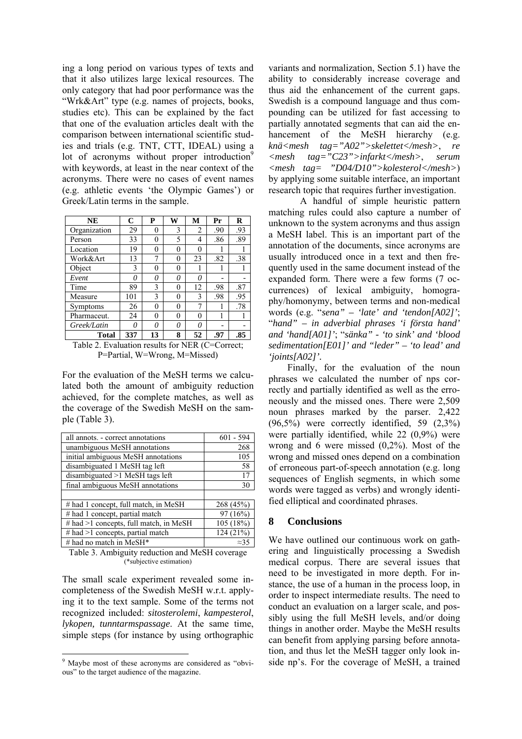ing a long period on various types of texts and that it also utilizes large lexical resources. The only category that had poor performance was the "Wrk&Art" type (e.g. names of projects, books, studies etc). This can be explained by the fact that one of the evaluation articles dealt with the comparison between international scientific studies and trials (e.g. TNT, CTT, IDEAL) using a lot of acronyms without proper introduction<sup>9</sup> with keywords, at least in the near context of the acronyms. There were no cases of event names (e.g. athletic events 'the Olympic Games') or Greek/Latin terms in the sample.

| <b>NE</b>    | C   | P        | W | M  | Pr  | R   |
|--------------|-----|----------|---|----|-----|-----|
| Organization | 29  |          | 3 | 2  | .90 | .93 |
| Person       | 33  | 0        | 5 | 4  | .86 | .89 |
| Location     | 19  | 0        | 0 | 0  |     |     |
| Work&Art     | 13  | 7        | 0 | 23 | .82 | .38 |
| Object       | 3   | $\Omega$ | 0 |    |     |     |
| Event        | 0   | 0        | 0 | 0  |     |     |
| Time         | 89  | 3        | 0 | 12 | .98 | .87 |
| Measure      | 101 | 3        | 0 | 3  | .98 | .95 |
| Symptoms     | 26  | 0        | 0 | 7  |     | .78 |
| Pharmaceut.  | 24  | 0        | 0 | 0  |     |     |
| Greek/Latin  | N   | n        | 0 | 0  |     |     |
| <b>Total</b> | 337 | 13       | 8 | 52 | .97 | .85 |

Table 2. Evaluation results for NER (C=Correct; P=Partial, W=Wrong, M=Missed)

For the evaluation of the MeSH terms we calculated both the amount of ambiguity reduction achieved, for the complete matches, as well as the coverage of the Swedish MeSH on the sample (Table 3).

| all annots. - correct annotations      | $601 - 594$ |
|----------------------------------------|-------------|
| unambiguous MeSH annotations           | 268         |
| initial ambiguous MeSH annotations     | 105         |
| disambiguated 1 MeSH tag left          | 58          |
| disambiguated $>1$ MeSH tags left      | 17          |
| final ambiguous MeSH annotations       | 30          |
|                                        |             |
| # had 1 concept, full match, in MeSH   | 268 (45%)   |
| # had 1 concept, partial match         | 97(16%)     |
| # had >1 concepts, full match, in MeSH | 105 (18%)   |
| # had $>1$ concepts, partial match     | 124 (21%)   |
| # had no match in MeSH*                | $\approx$   |

Table 3. Ambiguity reduction and MeSH coverage (\*subjective estimation)

The small scale experiment revealed some incompleteness of the Swedish MeSH w.r.t. applying it to the text sample. Some of the terms not recognized included: *sitosterolemi*, *kampesterol*, *lykopen, tunntarmspassage*. At the same time, simple steps (for instance by using orthographic

variants and normalization, Section 5.1) have the ability to considerably increase coverage and thus aid the enhancement of the current gaps. Swedish is a compound language and thus compounding can be utilized for fast accessing to partially annotated segments that can aid the enhancement of the MeSH hierarchy (e.g. *knä<mesh tag="A02">skelettet</mesh>*, *re <mesh tag="C23">infarkt</mesh>*, *serum <mesh tag= "D04/D10">kolesterol</mesh>*) by applying some suitable interface, an important research topic that requires further investigation.

A handful of simple heuristic pattern matching rules could also capture a number of unknown to the system acronyms and thus assign a MeSH label. This is an important part of the annotation of the documents, since acronyms are usually introduced once in a text and then frequently used in the same document instead of the expanded form. There were a few forms (7 occurrences) of lexical ambiguity, homography/homonymy, between terms and non-medical words (e.g. "*sena" – 'late' and 'tendon[A02]'*; "*hand" – in adverbial phrases 'i första hand' and 'hand[A01]'*; "*sänka" - 'to sink' and 'blood sedimentation[E01]' and "leder" – 'to lead' and 'joints[A02]'.*

Finally, for the evaluation of the noun phrases we calculated the number of nps correctly and partially identified as well as the erroneously and the missed ones. There were 2,509 noun phrases marked by the parser. 2,422 (96,5%) were correctly identified, 59 (2,3%) were partially identified, while 22 (0,9%) were wrong and 6 were missed (0,2%). Most of the wrong and missed ones depend on a combination of erroneous part-of-speech annotation (e.g. long sequences of English segments, in which some words were tagged as verbs) and wrongly identified elliptical and coordinated phrases.

## **8 Conclusions**

We have outlined our continuous work on gathering and linguistically processing a Swedish medical corpus. There are several issues that need to be investigated in more depth. For instance, the use of a human in the process loop, in order to inspect intermediate results. The need to conduct an evaluation on a larger scale, and possibly using the full MeSH levels, and/or doing things in another order. Maybe the MeSH results can benefit from applying parsing before annotation, and thus let the MeSH tagger only look inside np's. For the coverage of MeSH, a trained

<span id="page-6-0"></span><sup>&</sup>lt;sup>9</sup> Maybe most of these acronyms are considered as "obvious" to the target audience of the magazine.